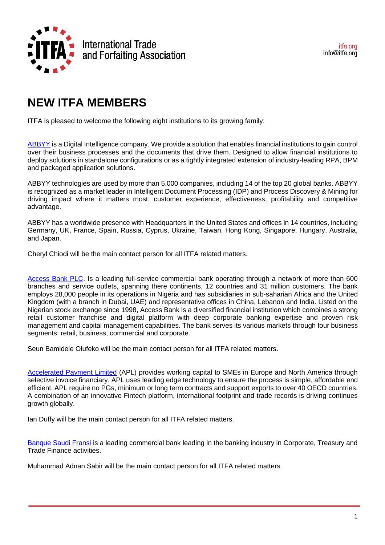

## **NEW ITFA MEMBERS**

ITFA is pleased to welcome the following eight institutions to its growing family:

[ABBYY](http://www.abbyy.com/finserv) is a Digital Intelligence company. We provide a solution that enables financial institutions to gain control over their business processes and the documents that drive them. Designed to allow financial institutions to deploy solutions in standalone configurations or as a tightly integrated extension of industry-leading RPA, BPM and packaged application solutions.

ABBYY technologies are used by more than 5,000 companies, including 14 of the top 20 global banks. ABBYY is recognized as a market leader in Intelligent Document Processing (IDP) and Process Discovery & Mining for driving impact where it matters most: customer experience, effectiveness, profitability and competitive advantage.

ABBYY has a worldwide presence with Headquarters in the United States and offices in 14 countries, including Germany, UK, France, Spain, Russia, Cyprus, Ukraine, Taiwan, Hong Kong, Singapore, Hungary, Australia, and Japan.

Cheryl Chiodi will be the main contact person for all ITFA related matters.

[Access Bank PLC.](https://www.accessbankplc.com/) Is a leading full-service commercial bank operating through a network of more than 600 branches and service outlets, spanning there continents, 12 countries and 31 million customers. The bank employs 28,000 people in its operations in Nigeria and has subsidiaries in sub-saharian Africa and the United Kingdom (with a branch in Dubai, UAE) and representative offices in China, Lebanon and India. Listed on the Nigerian stock exchange since 1998, Access Bank is a diversified financial institution which combines a strong retail customer franchise and digital platform with deep corporate banking expertise and proven risk management and capital management capabilities. The bank serves its various markets through four business segments: retail, business, commercial and corporate.

Seun Bamidele Olufeko will be the main contact person for all ITFA related matters.

[Accelerated Payment Limited](https://acceleratedpayments.com/) (APL) provides working capital to SMEs in Europe and North America through selective invoice financiary. APL uses leading edge technology to ensure the process is simple, affordable end efficient. APL require no PGs, minimum or long term contracts and support exports to over 40 OECD countries. A combination of an innovative Fintech platform, international footprint and trade records is driving continues growth globally.

Ian Duffy will be the main contact person for all ITFA related matters.

[Banque Saudi Fransi](https://www.alfransi.com.sa/) is a leading commercial bank leading in the banking industry in Corporate, Treasury and Trade Finance activities.

Muhammad Adnan Sabir will be the main contact person for all ITFA related matters.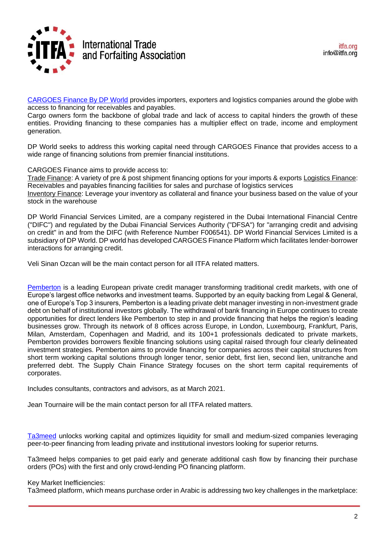

[CARGOES Finance By DP World](https://cargoes.com/finance) provides importers, exporters and logistics companies around the globe with access to financing for receivables and payables.

Cargo owners form the backbone of global trade and lack of access to capital hinders the growth of these entities. Providing financing to these companies has a multiplier effect on trade, income and employment generation.

DP World seeks to address this working capital need through CARGOES Finance that provides access to a wide range of financing solutions from premier financial institutions.

CARGOES Finance aims to provide access to:

Trade Finance: A variety of pre & post shipment financing options for your imports & exports Logistics Finance: Receivables and payables financing facilities for sales and purchase of logistics services Inventory Finance: Leverage your inventory as collateral and finance your business based on the value of your stock in the warehouse

DP World Financial Services Limited, are a company registered in the Dubai International Financial Centre ("DIFC") and regulated by the Dubai Financial Services Authority ("DFSA") for "arranging credit and advising on credit" in and from the DIFC (with Reference Number F006541). DP World Financial Services Limited is a subsidiary of DP World. DP world has developed CARGOES Finance Platform which facilitates lender-borrower interactions for arranging credit.

Veli Sinan Ozcan will be the main contact person for all ITFA related matters.

[Pemberton](pembertonam.com) is a leading European private credit manager transforming traditional credit markets, with one of Europe's largest office networks and investment teams. Supported by an equity backing from Legal & General, one of Europe's Top 3 insurers, Pemberton is a leading private debt manager investing in non-investment grade debt on behalf of institutional investors globally. The withdrawal of bank financing in Europe continues to create opportunities for direct lenders like Pemberton to step in and provide financing that helps the region's leading businesses grow. Through its network of 8 offices across Europe, in London, Luxembourg, Frankfurt, Paris, Milan, Amsterdam, Copenhagen and Madrid, and its 100+1 professionals dedicated to private markets, Pemberton provides borrowers flexible financing solutions using capital raised through four clearly delineated investment strategies. Pemberton aims to provide financing for companies across their capital structures from short term working capital solutions through longer tenor, senior debt, first lien, second lien, unitranche and preferred debt. The Supply Chain Finance Strategy focuses on the short term capital requirements of corporates.

Includes consultants, contractors and advisors, as at March 2021.

Jean Tournaire will be the main contact person for all ITFA related matters.

[Ta3meed](https://ta3meed.com/en/) unlocks working capital and optimizes liquidity for small and medium-sized companies leveraging peer-to-peer financing from leading private and institutional investors looking for superior returns.

Ta3meed helps companies to get paid early and generate additional cash flow by financing their purchase orders (POs) with the first and only crowd-lending PO financing platform.

## Key Market Inefficiencies:

Ta3meed platform, which means purchase order in Arabic is addressing two key challenges in the marketplace: